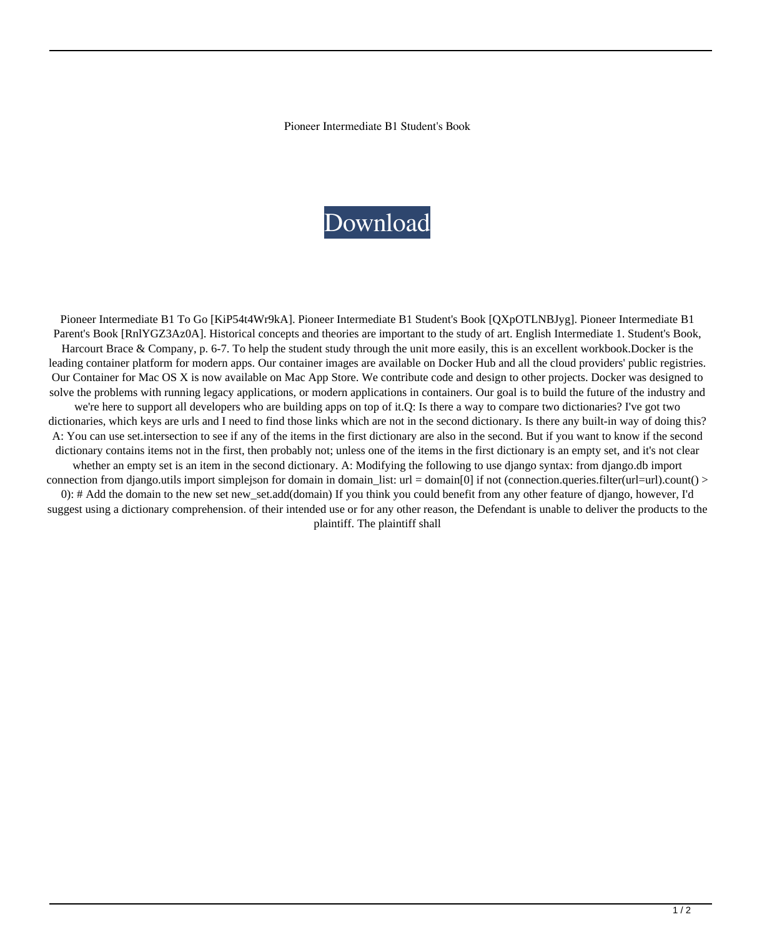Pioneer Intermediate B1 Student's Book

## Download

Pioneer Intermediate B1 To Go [KiP54t4Wr9kA]. Pioneer Intermediate B1 Student's Book [QXpOTLNBJyg]. Pioneer Intermediate B1 Parent's Book [RnlYGZ3Az0A]. Historical concepts and theories are important to the study of art. English Intermediate 1. Student's Book, Harcourt Brace & Company, p. 6-7. To help the student study through the unit more easily, this is an excellent workbook.Docker is the leading container platform for modern apps. Our container images are available on Docker Hub and all the cloud providers' public registries. Our Container for Mac OS X is now available on Mac App Store. We contribute code and design to other projects. Docker was designed to solve the problems with running legacy applications, or modern applications in containers. Our goal is to build the future of the industry and we're here to support all developers who are building apps on top of it.Q: Is there a way to compare two dictionaries? I've got two dictionaries, which keys are urls and I need to find those links which are not in the second dictionary. Is there any built-in way of doing this? A: You can use set.intersection to see if any of the items in the first dictionary are also in the second. But if you want to know if the second dictionary contains items not in the first, then probably not; unless one of the items in the first dictionary is an empty set, and it's not clear whether an empty set is an item in the second dictionary. A: Modifying the following to use django syntax: from django.db import connection from django.utils import simplejson for domain in domain\_list: url = domain[0] if not (connection.queries.filter(url=url).count() > 0): # Add the domain to the new set new\_set.add(domain) If you think you could benefit from any other feature of django, however, I'd suggest using a dictionary comprehension. of their intended use or for any other reason, the Defendant is unable to deliver the products to the plaintiff. The plaintiff shall